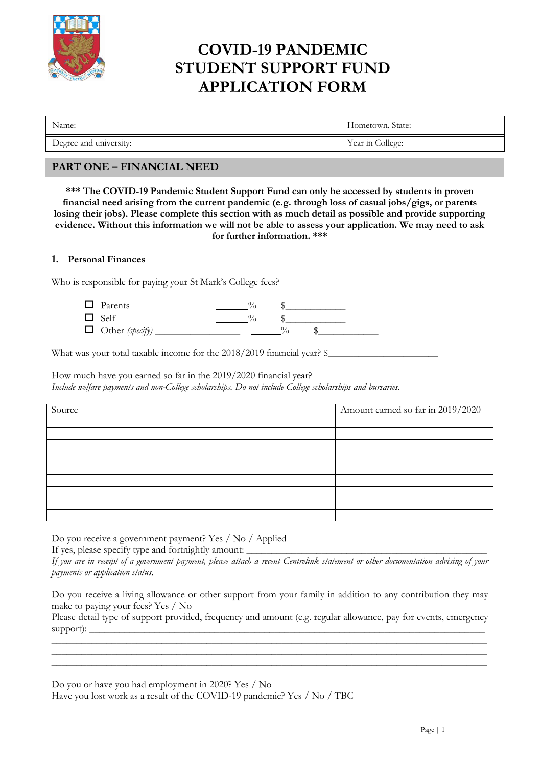

# **COVID-19 PANDEMIC STUDENT SUPPORT FUND APPLICATION FORM**

Name: Hometown, State:

Degree and university: Year in College: Year in College:

## **PART ONE – FINANCIAL NEED**

**\*\*\* The COVID-19 Pandemic Student Support Fund can only be accessed by students in proven financial need arising from the current pandemic (e.g. through loss of casual jobs/gigs, or parents losing their jobs). Please complete this section with as much detail as possible and provide supporting evidence. Without this information we will not be able to assess your application. We may need to ask for further information. \*\*\***

### **1. Personal Finances**

Who is responsible for paying your St Mark's College fees?

| $\Box$ Parents         |  |  |
|------------------------|--|--|
| $\Box$ Self            |  |  |
| $\Box$ Other (specify) |  |  |

What was your total taxable income for the 2018/2019 financial year?  $\$ 

How much have you earned so far in the 2019/2020 financial year? *Include welfare payments and non-College scholarships. Do not include College scholarships and bursaries.*

| Source | Amount earned so far in 2019/2020 |
|--------|-----------------------------------|
|        |                                   |
|        |                                   |
|        |                                   |
|        |                                   |
|        |                                   |
|        |                                   |
|        |                                   |
|        |                                   |
|        |                                   |

Do you receive a government payment? Yes / No / Applied

If yes, please specify type and fortnightly amount:

*If you are in receipt of a government payment, please attach a recent Centrelink statement or other documentation advising of your payments or application status*.

Do you receive a living allowance or other support from your family in addition to any contribution they may make to paying your fees? Yes / No

Please detail type of support provided, frequency and amount (e.g. regular allowance, pay for events, emergency support): \_\_\_\_\_\_\_\_\_\_\_\_\_\_\_\_\_\_\_\_\_\_\_\_\_\_\_\_\_\_\_\_\_\_\_\_\_\_\_\_\_\_\_\_\_\_\_\_\_\_\_\_\_\_\_\_\_\_\_\_\_\_\_\_\_\_\_\_\_\_\_\_\_\_\_\_\_\_\_ \_\_\_\_\_\_\_\_\_\_\_\_\_\_\_\_\_\_\_\_\_\_\_\_\_\_\_\_\_\_\_\_\_\_\_\_\_\_\_\_\_\_\_\_\_\_\_\_\_\_\_\_\_\_\_\_\_\_\_\_\_\_\_\_\_\_\_\_\_\_\_\_\_\_\_\_\_\_\_\_\_\_\_\_\_\_\_

\_\_\_\_\_\_\_\_\_\_\_\_\_\_\_\_\_\_\_\_\_\_\_\_\_\_\_\_\_\_\_\_\_\_\_\_\_\_\_\_\_\_\_\_\_\_\_\_\_\_\_\_\_\_\_\_\_\_\_\_\_\_\_\_\_\_\_\_\_\_\_\_\_\_\_\_\_\_\_\_\_\_\_\_\_\_\_ \_\_\_\_\_\_\_\_\_\_\_\_\_\_\_\_\_\_\_\_\_\_\_\_\_\_\_\_\_\_\_\_\_\_\_\_\_\_\_\_\_\_\_\_\_\_\_\_\_\_\_\_\_\_\_\_\_\_\_\_\_\_\_\_\_\_\_\_\_\_\_\_\_\_\_\_\_\_\_\_\_\_\_\_\_\_\_

Do you or have you had employment in 2020? Yes / No

Have you lost work as a result of the COVID-19 pandemic? Yes / No / TBC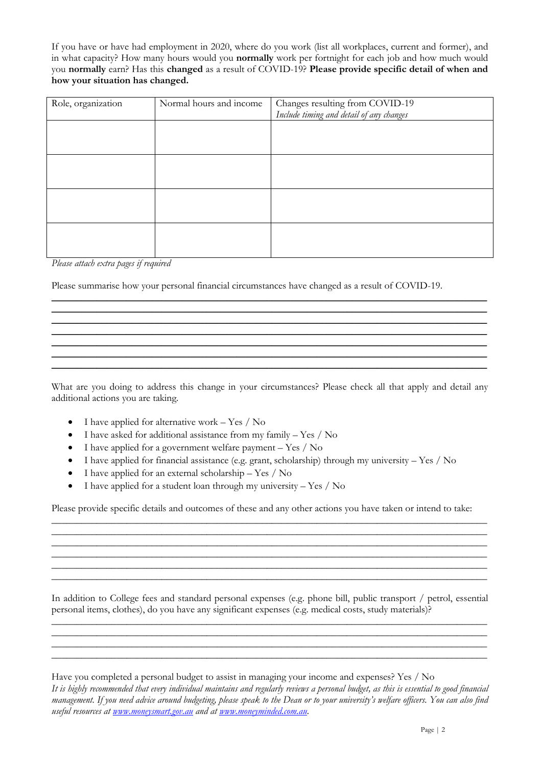If you have or have had employment in 2020, where do you work (list all workplaces, current and former), and in what capacity? How many hours would you **normally** work per fortnight for each job and how much would you **normally** earn? Has this **changed** as a result of COVID-19? **Please provide specific detail of when and how your situation has changed.**

| Role, organization | Normal hours and income | Changes resulting from COVID-19<br>Include timing and detail of any changes |
|--------------------|-------------------------|-----------------------------------------------------------------------------|
|                    |                         |                                                                             |
|                    |                         |                                                                             |
|                    |                         |                                                                             |
|                    |                         |                                                                             |
|                    |                         |                                                                             |

*Please attach extra pages if required*

Please summarise how your personal financial circumstances have changed as a result of COVID-19.

What are you doing to address this change in your circumstances? Please check all that apply and detail any additional actions you are taking.

\_\_\_\_\_\_\_\_\_\_\_\_\_\_\_\_\_\_\_\_\_\_\_\_\_\_\_\_\_\_\_\_\_\_\_\_\_\_\_\_\_\_\_\_\_\_\_\_\_\_\_\_\_\_\_\_\_\_\_\_\_\_\_\_\_\_\_\_\_\_\_\_\_\_\_\_\_\_\_\_\_\_\_\_\_\_\_ \_\_\_\_\_\_\_\_\_\_\_\_\_\_\_\_\_\_\_\_\_\_\_\_\_\_\_\_\_\_\_\_\_\_\_\_\_\_\_\_\_\_\_\_\_\_\_\_\_\_\_\_\_\_\_\_\_\_\_\_\_\_\_\_\_\_\_\_\_\_\_\_\_\_\_\_\_\_\_\_\_\_\_\_\_\_\_ \_\_\_\_\_\_\_\_\_\_\_\_\_\_\_\_\_\_\_\_\_\_\_\_\_\_\_\_\_\_\_\_\_\_\_\_\_\_\_\_\_\_\_\_\_\_\_\_\_\_\_\_\_\_\_\_\_\_\_\_\_\_\_\_\_\_\_\_\_\_\_\_\_\_\_\_\_\_\_\_\_\_\_\_\_\_\_ \_\_\_\_\_\_\_\_\_\_\_\_\_\_\_\_\_\_\_\_\_\_\_\_\_\_\_\_\_\_\_\_\_\_\_\_\_\_\_\_\_\_\_\_\_\_\_\_\_\_\_\_\_\_\_\_\_\_\_\_\_\_\_\_\_\_\_\_\_\_\_\_\_\_\_\_\_\_\_\_\_\_\_\_\_\_\_ \_\_\_\_\_\_\_\_\_\_\_\_\_\_\_\_\_\_\_\_\_\_\_\_\_\_\_\_\_\_\_\_\_\_\_\_\_\_\_\_\_\_\_\_\_\_\_\_\_\_\_\_\_\_\_\_\_\_\_\_\_\_\_\_\_\_\_\_\_\_\_\_\_\_\_\_\_\_\_\_\_\_\_\_\_\_\_ \_\_\_\_\_\_\_\_\_\_\_\_\_\_\_\_\_\_\_\_\_\_\_\_\_\_\_\_\_\_\_\_\_\_\_\_\_\_\_\_\_\_\_\_\_\_\_\_\_\_\_\_\_\_\_\_\_\_\_\_\_\_\_\_\_\_\_\_\_\_\_\_\_\_\_\_\_\_\_\_\_\_\_\_\_\_\_ \_\_\_\_\_\_\_\_\_\_\_\_\_\_\_\_\_\_\_\_\_\_\_\_\_\_\_\_\_\_\_\_\_\_\_\_\_\_\_\_\_\_\_\_\_\_\_\_\_\_\_\_\_\_\_\_\_\_\_\_\_\_\_\_\_\_\_\_\_\_\_\_\_\_\_\_\_\_\_\_\_\_\_\_\_\_\_

- I have applied for alternative work Yes / No
- I have asked for additional assistance from my family Yes / No
- I have applied for a government welfare payment Yes / No
- I have applied for financial assistance (e.g. grant, scholarship) through my university  $-$  Yes  $/$  No
- I have applied for an external scholarship Yes  $/$  No
- I have applied for a student loan through my university  $-$  Yes  $/$  No

Please provide specific details and outcomes of these and any other actions you have taken or intend to take:

\_\_\_\_\_\_\_\_\_\_\_\_\_\_\_\_\_\_\_\_\_\_\_\_\_\_\_\_\_\_\_\_\_\_\_\_\_\_\_\_\_\_\_\_\_\_\_\_\_\_\_\_\_\_\_\_\_\_\_\_\_\_\_\_\_\_\_\_\_\_\_\_\_\_\_\_\_\_\_\_\_\_\_\_\_\_\_ \_\_\_\_\_\_\_\_\_\_\_\_\_\_\_\_\_\_\_\_\_\_\_\_\_\_\_\_\_\_\_\_\_\_\_\_\_\_\_\_\_\_\_\_\_\_\_\_\_\_\_\_\_\_\_\_\_\_\_\_\_\_\_\_\_\_\_\_\_\_\_\_\_\_\_\_\_\_\_\_\_\_\_\_\_\_\_ \_\_\_\_\_\_\_\_\_\_\_\_\_\_\_\_\_\_\_\_\_\_\_\_\_\_\_\_\_\_\_\_\_\_\_\_\_\_\_\_\_\_\_\_\_\_\_\_\_\_\_\_\_\_\_\_\_\_\_\_\_\_\_\_\_\_\_\_\_\_\_\_\_\_\_\_\_\_\_\_\_\_\_\_\_\_\_ \_\_\_\_\_\_\_\_\_\_\_\_\_\_\_\_\_\_\_\_\_\_\_\_\_\_\_\_\_\_\_\_\_\_\_\_\_\_\_\_\_\_\_\_\_\_\_\_\_\_\_\_\_\_\_\_\_\_\_\_\_\_\_\_\_\_\_\_\_\_\_\_\_\_\_\_\_\_\_\_\_\_\_\_\_\_\_ \_\_\_\_\_\_\_\_\_\_\_\_\_\_\_\_\_\_\_\_\_\_\_\_\_\_\_\_\_\_\_\_\_\_\_\_\_\_\_\_\_\_\_\_\_\_\_\_\_\_\_\_\_\_\_\_\_\_\_\_\_\_\_\_\_\_\_\_\_\_\_\_\_\_\_\_\_\_\_\_\_\_\_\_\_\_\_ \_\_\_\_\_\_\_\_\_\_\_\_\_\_\_\_\_\_\_\_\_\_\_\_\_\_\_\_\_\_\_\_\_\_\_\_\_\_\_\_\_\_\_\_\_\_\_\_\_\_\_\_\_\_\_\_\_\_\_\_\_\_\_\_\_\_\_\_\_\_\_\_\_\_\_\_\_\_\_\_\_\_\_\_\_\_\_

In addition to College fees and standard personal expenses (e.g. phone bill, public transport / petrol, essential personal items, clothes), do you have any significant expenses (e.g. medical costs, study materials)? \_\_\_\_\_\_\_\_\_\_\_\_\_\_\_\_\_\_\_\_\_\_\_\_\_\_\_\_\_\_\_\_\_\_\_\_\_\_\_\_\_\_\_\_\_\_\_\_\_\_\_\_\_\_\_\_\_\_\_\_\_\_\_\_\_\_\_\_\_\_\_\_\_\_\_\_\_\_\_\_\_\_\_\_\_\_\_

\_\_\_\_\_\_\_\_\_\_\_\_\_\_\_\_\_\_\_\_\_\_\_\_\_\_\_\_\_\_\_\_\_\_\_\_\_\_\_\_\_\_\_\_\_\_\_\_\_\_\_\_\_\_\_\_\_\_\_\_\_\_\_\_\_\_\_\_\_\_\_\_\_\_\_\_\_\_\_\_\_\_\_\_\_\_\_ \_\_\_\_\_\_\_\_\_\_\_\_\_\_\_\_\_\_\_\_\_\_\_\_\_\_\_\_\_\_\_\_\_\_\_\_\_\_\_\_\_\_\_\_\_\_\_\_\_\_\_\_\_\_\_\_\_\_\_\_\_\_\_\_\_\_\_\_\_\_\_\_\_\_\_\_\_\_\_\_\_\_\_\_\_\_\_ \_\_\_\_\_\_\_\_\_\_\_\_\_\_\_\_\_\_\_\_\_\_\_\_\_\_\_\_\_\_\_\_\_\_\_\_\_\_\_\_\_\_\_\_\_\_\_\_\_\_\_\_\_\_\_\_\_\_\_\_\_\_\_\_\_\_\_\_\_\_\_\_\_\_\_\_\_\_\_\_\_\_\_\_\_\_\_

Have you completed a personal budget to assist in managing your income and expenses? Yes / No

*It is highly recommended that every individual maintains and regularly reviews a personal budget, as this is essential to good financial management. If you need advice around budgeting, please speak to the Dean or to your university's welfare officers. You can also find useful resources at [www.moneysmart.gov.au](http://www.moneysmart.gov.au/) and at [www.moneyminded.com.au.](http://www.moneyminded.com.au/)*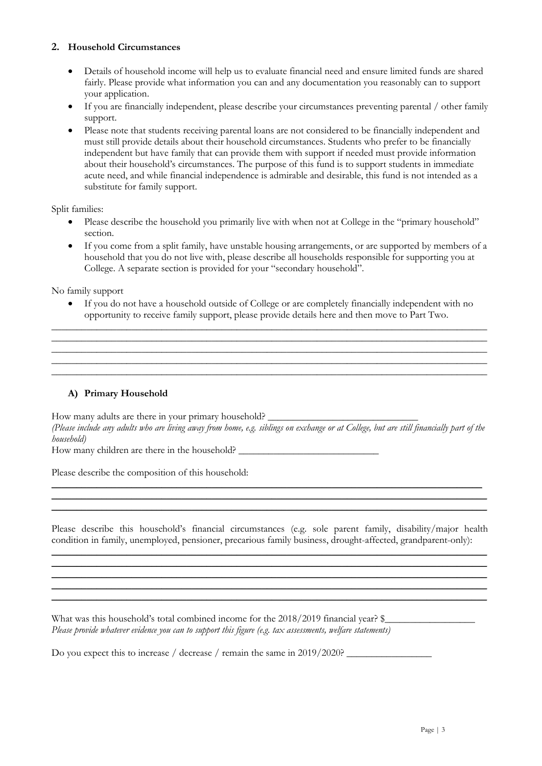### **2. Household Circumstances**

- Details of household income will help us to evaluate financial need and ensure limited funds are shared fairly. Please provide what information you can and any documentation you reasonably can to support your application.
- If you are financially independent, please describe your circumstances preventing parental / other family support.
- Please note that students receiving parental loans are not considered to be financially independent and must still provide details about their household circumstances. Students who prefer to be financially independent but have family that can provide them with support if needed must provide information about their household's circumstances. The purpose of this fund is to support students in immediate acute need, and while financial independence is admirable and desirable, this fund is not intended as a substitute for family support.

Split families:

- Please describe the household you primarily live with when not at College in the "primary household" section.
- If you come from a split family, have unstable housing arrangements, or are supported by members of a household that you do not live with, please describe all households responsible for supporting you at College. A separate section is provided for your "secondary household".

No family support

If you do not have a household outside of College or are completely financially independent with no opportunity to receive family support, please provide details here and then move to Part Two. \_\_\_\_\_\_\_\_\_\_\_\_\_\_\_\_\_\_\_\_\_\_\_\_\_\_\_\_\_\_\_\_\_\_\_\_\_\_\_\_\_\_\_\_\_\_\_\_\_\_\_\_\_\_\_\_\_\_\_\_\_\_\_\_\_\_\_\_\_\_\_\_\_\_\_\_\_\_\_\_\_\_\_\_\_\_\_

\_\_\_\_\_\_\_\_\_\_\_\_\_\_\_\_\_\_\_\_\_\_\_\_\_\_\_\_\_\_\_\_\_\_\_\_\_\_\_\_\_\_\_\_\_\_\_\_\_\_\_\_\_\_\_\_\_\_\_\_\_\_\_\_\_\_\_\_\_\_\_\_\_\_\_\_\_\_\_\_\_\_\_\_\_\_\_ \_\_\_\_\_\_\_\_\_\_\_\_\_\_\_\_\_\_\_\_\_\_\_\_\_\_\_\_\_\_\_\_\_\_\_\_\_\_\_\_\_\_\_\_\_\_\_\_\_\_\_\_\_\_\_\_\_\_\_\_\_\_\_\_\_\_\_\_\_\_\_\_\_\_\_\_\_\_\_\_\_\_\_\_\_\_\_ \_\_\_\_\_\_\_\_\_\_\_\_\_\_\_\_\_\_\_\_\_\_\_\_\_\_\_\_\_\_\_\_\_\_\_\_\_\_\_\_\_\_\_\_\_\_\_\_\_\_\_\_\_\_\_\_\_\_\_\_\_\_\_\_\_\_\_\_\_\_\_\_\_\_\_\_\_\_\_\_\_\_\_\_\_\_\_ \_\_\_\_\_\_\_\_\_\_\_\_\_\_\_\_\_\_\_\_\_\_\_\_\_\_\_\_\_\_\_\_\_\_\_\_\_\_\_\_\_\_\_\_\_\_\_\_\_\_\_\_\_\_\_\_\_\_\_\_\_\_\_\_\_\_\_\_\_\_\_\_\_\_\_\_\_\_\_\_\_\_\_\_\_\_\_

## **A) Primary Household**

How many adults are there in your primary household? *(Please include any adults who are living away from home, e.g. siblings on exchange or at College, but are still financially part of the household)* How many children are there in the household?

\_\_\_\_\_\_\_\_\_\_\_\_\_\_\_\_\_\_\_\_\_\_\_\_\_\_\_\_\_\_\_\_\_\_\_\_\_\_\_\_\_\_\_\_\_\_\_\_\_\_\_\_\_\_\_\_\_\_\_\_\_\_\_\_\_\_\_\_\_\_\_\_\_\_\_\_\_\_\_\_\_\_\_\_\_\_ \_\_\_\_\_\_\_\_\_\_\_\_\_\_\_\_\_\_\_\_\_\_\_\_\_\_\_\_\_\_\_\_\_\_\_\_\_\_\_\_\_\_\_\_\_\_\_\_\_\_\_\_\_\_\_\_\_\_\_\_\_\_\_\_\_\_\_\_\_\_\_\_\_\_\_\_\_\_\_\_\_\_\_\_\_\_\_ \_\_\_\_\_\_\_\_\_\_\_\_\_\_\_\_\_\_\_\_\_\_\_\_\_\_\_\_\_\_\_\_\_\_\_\_\_\_\_\_\_\_\_\_\_\_\_\_\_\_\_\_\_\_\_\_\_\_\_\_\_\_\_\_\_\_\_\_\_\_\_\_\_\_\_\_\_\_\_\_\_\_\_\_\_\_\_

Please describe the composition of this household:

Please describe this household's financial circumstances (e.g. sole parent family, disability/major health condition in family, unemployed, pensioner, precarious family business, drought-affected, grandparent-only): \_\_\_\_\_\_\_\_\_\_\_\_\_\_\_\_\_\_\_\_\_\_\_\_\_\_\_\_\_\_\_\_\_\_\_\_\_\_\_\_\_\_\_\_\_\_\_\_\_\_\_\_\_\_\_\_\_\_\_\_\_\_\_\_\_\_\_\_\_\_\_\_\_\_\_\_\_\_\_\_\_\_\_\_\_\_\_

\_\_\_\_\_\_\_\_\_\_\_\_\_\_\_\_\_\_\_\_\_\_\_\_\_\_\_\_\_\_\_\_\_\_\_\_\_\_\_\_\_\_\_\_\_\_\_\_\_\_\_\_\_\_\_\_\_\_\_\_\_\_\_\_\_\_\_\_\_\_\_\_\_\_\_\_\_\_\_\_\_\_\_\_\_\_\_ \_\_\_\_\_\_\_\_\_\_\_\_\_\_\_\_\_\_\_\_\_\_\_\_\_\_\_\_\_\_\_\_\_\_\_\_\_\_\_\_\_\_\_\_\_\_\_\_\_\_\_\_\_\_\_\_\_\_\_\_\_\_\_\_\_\_\_\_\_\_\_\_\_\_\_\_\_\_\_\_\_\_\_\_\_\_\_ \_\_\_\_\_\_\_\_\_\_\_\_\_\_\_\_\_\_\_\_\_\_\_\_\_\_\_\_\_\_\_\_\_\_\_\_\_\_\_\_\_\_\_\_\_\_\_\_\_\_\_\_\_\_\_\_\_\_\_\_\_\_\_\_\_\_\_\_\_\_\_\_\_\_\_\_\_\_\_\_\_\_\_\_\_\_\_ \_\_\_\_\_\_\_\_\_\_\_\_\_\_\_\_\_\_\_\_\_\_\_\_\_\_\_\_\_\_\_\_\_\_\_\_\_\_\_\_\_\_\_\_\_\_\_\_\_\_\_\_\_\_\_\_\_\_\_\_\_\_\_\_\_\_\_\_\_\_\_\_\_\_\_\_\_\_\_\_\_\_\_\_\_\_\_

What was this household's total combined income for the  $2018/2019$  financial year?  $\frac{1}{2}$ *Please provide whatever evidence you can to support this figure (e.g. tax assessments, welfare statements)*

Do you expect this to increase / decrease / remain the same in  $2019/2020$ ?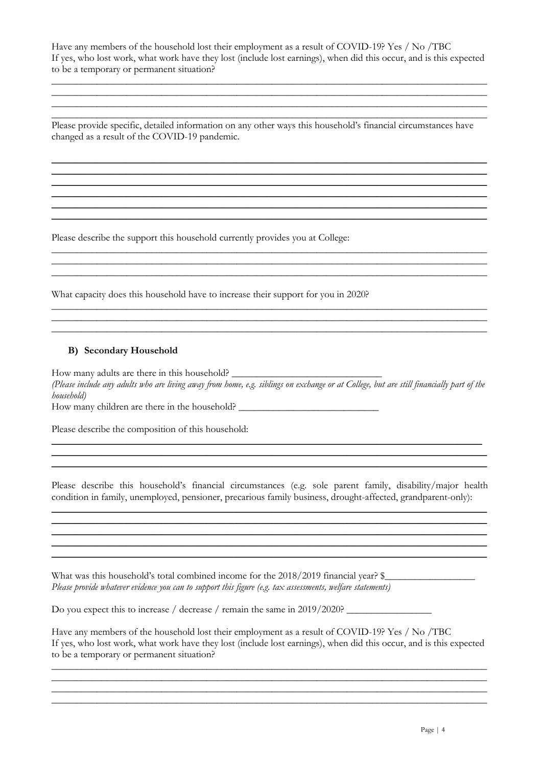Have any members of the household lost their employment as a result of COVID-19? Yes / No /TBC If yes, who lost work, what work have they lost (include lost earnings), when did this occur, and is this expected to be a temporary or permanent situation?

\_\_\_\_\_\_\_\_\_\_\_\_\_\_\_\_\_\_\_\_\_\_\_\_\_\_\_\_\_\_\_\_\_\_\_\_\_\_\_\_\_\_\_\_\_\_\_\_\_\_\_\_\_\_\_\_\_\_\_\_\_\_\_\_\_\_\_\_\_\_\_\_\_\_\_\_\_\_\_\_\_\_\_\_\_\_\_ \_\_\_\_\_\_\_\_\_\_\_\_\_\_\_\_\_\_\_\_\_\_\_\_\_\_\_\_\_\_\_\_\_\_\_\_\_\_\_\_\_\_\_\_\_\_\_\_\_\_\_\_\_\_\_\_\_\_\_\_\_\_\_\_\_\_\_\_\_\_\_\_\_\_\_\_\_\_\_\_\_\_\_\_\_\_\_ \_\_\_\_\_\_\_\_\_\_\_\_\_\_\_\_\_\_\_\_\_\_\_\_\_\_\_\_\_\_\_\_\_\_\_\_\_\_\_\_\_\_\_\_\_\_\_\_\_\_\_\_\_\_\_\_\_\_\_\_\_\_\_\_\_\_\_\_\_\_\_\_\_\_\_\_\_\_\_\_\_\_\_\_\_\_\_

\_\_\_\_\_\_\_\_\_\_\_\_\_\_\_\_\_\_\_\_\_\_\_\_\_\_\_\_\_\_\_\_\_\_\_\_\_\_\_\_\_\_\_\_\_\_\_\_\_\_\_\_\_\_\_\_\_\_\_\_\_\_\_\_\_\_\_\_\_\_\_\_\_\_\_\_\_\_\_\_\_\_\_\_\_\_\_ Please provide specific, detailed information on any other ways this household's financial circumstances have changed as a result of the COVID-19 pandemic.

\_\_\_\_\_\_\_\_\_\_\_\_\_\_\_\_\_\_\_\_\_\_\_\_\_\_\_\_\_\_\_\_\_\_\_\_\_\_\_\_\_\_\_\_\_\_\_\_\_\_\_\_\_\_\_\_\_\_\_\_\_\_\_\_\_\_\_\_\_\_\_\_\_\_\_\_\_\_\_\_\_\_\_\_\_\_\_ \_\_\_\_\_\_\_\_\_\_\_\_\_\_\_\_\_\_\_\_\_\_\_\_\_\_\_\_\_\_\_\_\_\_\_\_\_\_\_\_\_\_\_\_\_\_\_\_\_\_\_\_\_\_\_\_\_\_\_\_\_\_\_\_\_\_\_\_\_\_\_\_\_\_\_\_\_\_\_\_\_\_\_\_\_\_\_ \_\_\_\_\_\_\_\_\_\_\_\_\_\_\_\_\_\_\_\_\_\_\_\_\_\_\_\_\_\_\_\_\_\_\_\_\_\_\_\_\_\_\_\_\_\_\_\_\_\_\_\_\_\_\_\_\_\_\_\_\_\_\_\_\_\_\_\_\_\_\_\_\_\_\_\_\_\_\_\_\_\_\_\_\_\_\_ \_\_\_\_\_\_\_\_\_\_\_\_\_\_\_\_\_\_\_\_\_\_\_\_\_\_\_\_\_\_\_\_\_\_\_\_\_\_\_\_\_\_\_\_\_\_\_\_\_\_\_\_\_\_\_\_\_\_\_\_\_\_\_\_\_\_\_\_\_\_\_\_\_\_\_\_\_\_\_\_\_\_\_\_\_\_\_ \_\_\_\_\_\_\_\_\_\_\_\_\_\_\_\_\_\_\_\_\_\_\_\_\_\_\_\_\_\_\_\_\_\_\_\_\_\_\_\_\_\_\_\_\_\_\_\_\_\_\_\_\_\_\_\_\_\_\_\_\_\_\_\_\_\_\_\_\_\_\_\_\_\_\_\_\_\_\_\_\_\_\_\_\_\_\_ \_\_\_\_\_\_\_\_\_\_\_\_\_\_\_\_\_\_\_\_\_\_\_\_\_\_\_\_\_\_\_\_\_\_\_\_\_\_\_\_\_\_\_\_\_\_\_\_\_\_\_\_\_\_\_\_\_\_\_\_\_\_\_\_\_\_\_\_\_\_\_\_\_\_\_\_\_\_\_\_\_\_\_\_\_\_\_

\_\_\_\_\_\_\_\_\_\_\_\_\_\_\_\_\_\_\_\_\_\_\_\_\_\_\_\_\_\_\_\_\_\_\_\_\_\_\_\_\_\_\_\_\_\_\_\_\_\_\_\_\_\_\_\_\_\_\_\_\_\_\_\_\_\_\_\_\_\_\_\_\_\_\_\_\_\_\_\_\_\_\_\_\_\_\_ \_\_\_\_\_\_\_\_\_\_\_\_\_\_\_\_\_\_\_\_\_\_\_\_\_\_\_\_\_\_\_\_\_\_\_\_\_\_\_\_\_\_\_\_\_\_\_\_\_\_\_\_\_\_\_\_\_\_\_\_\_\_\_\_\_\_\_\_\_\_\_\_\_\_\_\_\_\_\_\_\_\_\_\_\_\_\_ \_\_\_\_\_\_\_\_\_\_\_\_\_\_\_\_\_\_\_\_\_\_\_\_\_\_\_\_\_\_\_\_\_\_\_\_\_\_\_\_\_\_\_\_\_\_\_\_\_\_\_\_\_\_\_\_\_\_\_\_\_\_\_\_\_\_\_\_\_\_\_\_\_\_\_\_\_\_\_\_\_\_\_\_\_\_\_

\_\_\_\_\_\_\_\_\_\_\_\_\_\_\_\_\_\_\_\_\_\_\_\_\_\_\_\_\_\_\_\_\_\_\_\_\_\_\_\_\_\_\_\_\_\_\_\_\_\_\_\_\_\_\_\_\_\_\_\_\_\_\_\_\_\_\_\_\_\_\_\_\_\_\_\_\_\_\_\_\_\_\_\_\_\_\_ \_\_\_\_\_\_\_\_\_\_\_\_\_\_\_\_\_\_\_\_\_\_\_\_\_\_\_\_\_\_\_\_\_\_\_\_\_\_\_\_\_\_\_\_\_\_\_\_\_\_\_\_\_\_\_\_\_\_\_\_\_\_\_\_\_\_\_\_\_\_\_\_\_\_\_\_\_\_\_\_\_\_\_\_\_\_\_ \_\_\_\_\_\_\_\_\_\_\_\_\_\_\_\_\_\_\_\_\_\_\_\_\_\_\_\_\_\_\_\_\_\_\_\_\_\_\_\_\_\_\_\_\_\_\_\_\_\_\_\_\_\_\_\_\_\_\_\_\_\_\_\_\_\_\_\_\_\_\_\_\_\_\_\_\_\_\_\_\_\_\_\_\_\_\_

Please describe the support this household currently provides you at College:

What capacity does this household have to increase their support for you in 2020?

#### **B) Secondary Household**

How many adults are there in this household? *(Please include any adults who are living away from home, e.g. siblings on exchange or at College, but are still financially part of the household)*

How many children are there in the household? \_\_\_\_\_\_\_\_\_\_\_\_\_\_\_\_\_\_\_\_\_\_\_\_\_\_\_\_\_\_\_\_\_\_

Please describe the composition of this household:

Please describe this household's financial circumstances (e.g. sole parent family, disability/major health condition in family, unemployed, pensioner, precarious family business, drought-affected, grandparent-only): \_\_\_\_\_\_\_\_\_\_\_\_\_\_\_\_\_\_\_\_\_\_\_\_\_\_\_\_\_\_\_\_\_\_\_\_\_\_\_\_\_\_\_\_\_\_\_\_\_\_\_\_\_\_\_\_\_\_\_\_\_\_\_\_\_\_\_\_\_\_\_\_\_\_\_\_\_\_\_\_\_\_\_\_\_\_\_

\_\_\_\_\_\_\_\_\_\_\_\_\_\_\_\_\_\_\_\_\_\_\_\_\_\_\_\_\_\_\_\_\_\_\_\_\_\_\_\_\_\_\_\_\_\_\_\_\_\_\_\_\_\_\_\_\_\_\_\_\_\_\_\_\_\_\_\_\_\_\_\_\_\_\_\_\_\_\_\_\_\_\_\_\_\_\_ \_\_\_\_\_\_\_\_\_\_\_\_\_\_\_\_\_\_\_\_\_\_\_\_\_\_\_\_\_\_\_\_\_\_\_\_\_\_\_\_\_\_\_\_\_\_\_\_\_\_\_\_\_\_\_\_\_\_\_\_\_\_\_\_\_\_\_\_\_\_\_\_\_\_\_\_\_\_\_\_\_\_\_\_\_\_\_ \_\_\_\_\_\_\_\_\_\_\_\_\_\_\_\_\_\_\_\_\_\_\_\_\_\_\_\_\_\_\_\_\_\_\_\_\_\_\_\_\_\_\_\_\_\_\_\_\_\_\_\_\_\_\_\_\_\_\_\_\_\_\_\_\_\_\_\_\_\_\_\_\_\_\_\_\_\_\_\_\_\_\_\_\_\_\_ \_\_\_\_\_\_\_\_\_\_\_\_\_\_\_\_\_\_\_\_\_\_\_\_\_\_\_\_\_\_\_\_\_\_\_\_\_\_\_\_\_\_\_\_\_\_\_\_\_\_\_\_\_\_\_\_\_\_\_\_\_\_\_\_\_\_\_\_\_\_\_\_\_\_\_\_\_\_\_\_\_\_\_\_\_\_\_

\_\_\_\_\_\_\_\_\_\_\_\_\_\_\_\_\_\_\_\_\_\_\_\_\_\_\_\_\_\_\_\_\_\_\_\_\_\_\_\_\_\_\_\_\_\_\_\_\_\_\_\_\_\_\_\_\_\_\_\_\_\_\_\_\_\_\_\_\_\_\_\_\_\_\_\_\_\_\_\_\_\_\_\_\_\_ \_\_\_\_\_\_\_\_\_\_\_\_\_\_\_\_\_\_\_\_\_\_\_\_\_\_\_\_\_\_\_\_\_\_\_\_\_\_\_\_\_\_\_\_\_\_\_\_\_\_\_\_\_\_\_\_\_\_\_\_\_\_\_\_\_\_\_\_\_\_\_\_\_\_\_\_\_\_\_\_\_\_\_\_\_\_\_

What was this household's total combined income for the 2018/2019 financial year? \$ *Please provide whatever evidence you can to support this figure (e.g. tax assessments, welfare statements)*

Do you expect this to increase / decrease / remain the same in 2019/2020? \_\_\_\_\_\_\_\_\_\_\_\_\_\_\_\_\_

Have any members of the household lost their employment as a result of COVID-19? Yes / No /TBC If yes, who lost work, what work have they lost (include lost earnings), when did this occur, and is this expected to be a temporary or permanent situation?

\_\_\_\_\_\_\_\_\_\_\_\_\_\_\_\_\_\_\_\_\_\_\_\_\_\_\_\_\_\_\_\_\_\_\_\_\_\_\_\_\_\_\_\_\_\_\_\_\_\_\_\_\_\_\_\_\_\_\_\_\_\_\_\_\_\_\_\_\_\_\_\_\_\_\_\_\_\_\_\_\_\_\_\_\_\_\_ \_\_\_\_\_\_\_\_\_\_\_\_\_\_\_\_\_\_\_\_\_\_\_\_\_\_\_\_\_\_\_\_\_\_\_\_\_\_\_\_\_\_\_\_\_\_\_\_\_\_\_\_\_\_\_\_\_\_\_\_\_\_\_\_\_\_\_\_\_\_\_\_\_\_\_\_\_\_\_\_\_\_\_\_\_\_\_ \_\_\_\_\_\_\_\_\_\_\_\_\_\_\_\_\_\_\_\_\_\_\_\_\_\_\_\_\_\_\_\_\_\_\_\_\_\_\_\_\_\_\_\_\_\_\_\_\_\_\_\_\_\_\_\_\_\_\_\_\_\_\_\_\_\_\_\_\_\_\_\_\_\_\_\_\_\_\_\_\_\_\_\_\_\_\_ \_\_\_\_\_\_\_\_\_\_\_\_\_\_\_\_\_\_\_\_\_\_\_\_\_\_\_\_\_\_\_\_\_\_\_\_\_\_\_\_\_\_\_\_\_\_\_\_\_\_\_\_\_\_\_\_\_\_\_\_\_\_\_\_\_\_\_\_\_\_\_\_\_\_\_\_\_\_\_\_\_\_\_\_\_\_\_